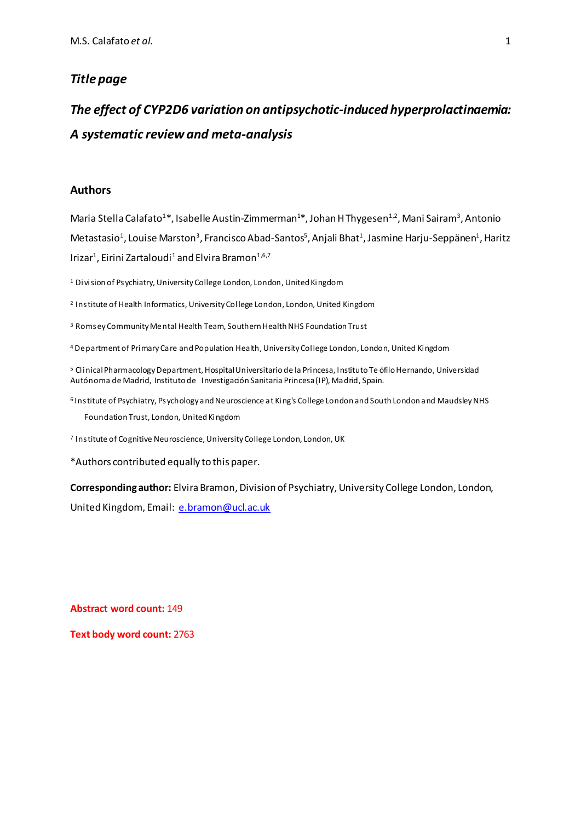### *Title page*

# *The effect of CYP2D6 variation on antipsychotic-induced hyperprolactinaemia: A systematic review and meta-analysis*

### **Authors**

Maria Stella Calafato<sup>1</sup>\*, Isabelle Austin-Zimmerman<sup>1</sup>\*, Johan H Thygesen<sup>1,2</sup>, Mani Sairam<sup>3</sup>, Antonio Metastasio<sup>1</sup>, Louise Marston<sup>3</sup>, Francisco Abad-Santos<sup>5</sup>, Anjali Bhat<sup>1</sup>, Jasmine Harju-Seppänen<sup>1</sup>, Haritz Irizar $^1$ , Eirini Zartaloudi $^1$  and Elvira Bramon $^{1,6,7}$ 

<sup>1</sup> Division of Psychiatry, University College London, London, United Kingdom

<sup>2</sup> Institute of Health Informatics, University College London, London, United Kingdom

<sup>3</sup> Romsey Community Mental Health Team, Southern Health NHS Foundation Trust

<sup>4</sup> Department of Primary Care and Population Health, University College London, London, United Kingdom

<sup>5</sup> Clinical Pharmacology Department, Hospital Universitario de la Princesa, Instituto Te ófilo Hernando, Universidad Autónoma de Madrid, Instituto de Investigación Sanitaria Princesa (IP), Madrid, Spain.

<sup>6</sup> Institute of Psychiatry, Psychology and Neuroscience at King's College London and South London and Maudsley NHS Foundation Trust, London, United Kingdom

<sup>7</sup> Institute of Cognitive Neuroscience, University College London, London, UK

\*Authors contributed equally to this paper.

Corresponding author: Elvira Bramon, Division of Psychiatry, University College London, London,

United Kingdom, Email: [e.bramon@ucl.ac.uk](mailto:e.bramon@ucl.ac.uk)

**Abstract word count:** 149

**Text body word count:** 2763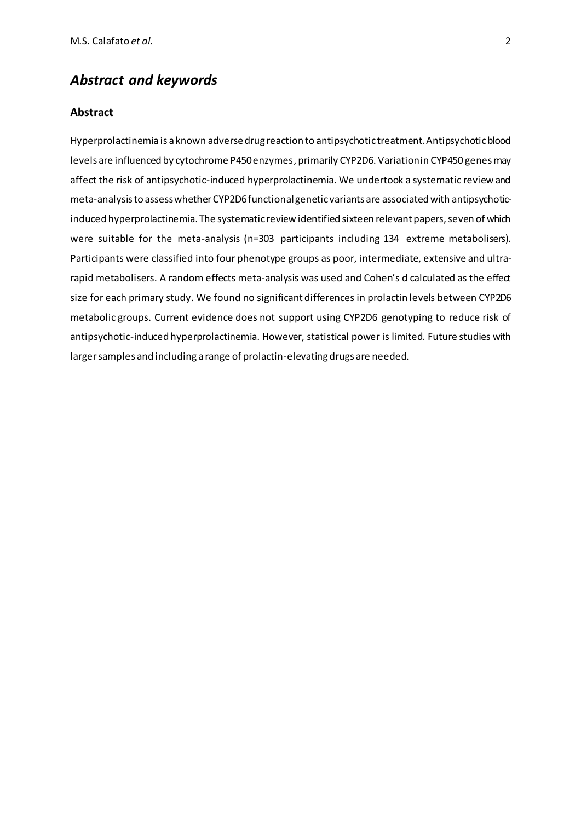### *Abstract and keywords*

### **Abstract**

Hyperprolactinemia is a known adverse drug reaction to antipsychotic treatment. Antipsychotic blood levels are influenced by cytochrome P450 enzymes, primarily CYP2D6. Variation in CYP450 genes may affect the risk of antipsychotic-induced hyperprolactinemia. We undertook a systematic review and meta-analysis to assess whether CYP2D6 functionalgenetic variants are associated with antipsychoticinduced hyperprolactinemia. The systematic review identified sixteen relevant papers, seven of which were suitable for the meta-analysis (n=303 participants including 134 extreme metabolisers). Participants were classified into four phenotype groups as poor, intermediate, extensive and ultrarapid metabolisers. A random effects meta-analysis was used and Cohen's d calculated as the effect size for each primary study. We found no significant differences in prolactin levels between CYP2D6 metabolic groups. Current evidence does not support using CYP2D6 genotyping to reduce risk of antipsychotic-induced hyperprolactinemia. However, statistical power is limited. Future studies with larger samples and including a range of prolactin-elevating drugs are needed.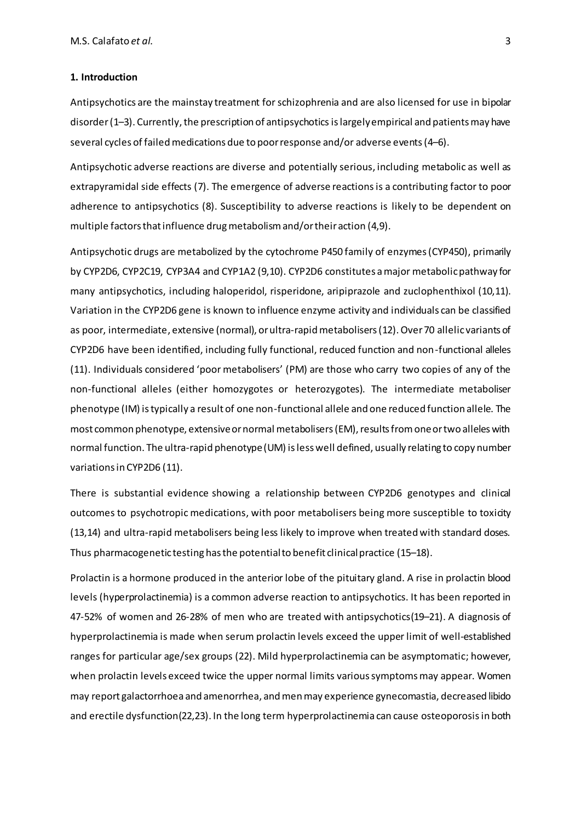#### **1. Introduction**

Antipsychotics are the mainstay treatment forschizophrenia and are also licensed for use in bipolar disorder (1-3). Currently, the prescription of antipsychotics is largely empirical and patients may have several cycles of failed medications due to poor response and/or adverse events(4–6).

Antipsychotic adverse reactions are diverse and potentially serious, including metabolic as well as extrapyramidal side effects (7). The emergence of adverse reactions is a contributing factor to poor adherence to antipsychotics (8). Susceptibility to adverse reactions is likely to be dependent on multiple factors that influence drugmetabolism and/or their action (4,9).

Antipsychotic drugs are metabolized by the cytochrome P450 family of enzymes (CYP450), primarily by CYP2D6, CYP2C19, CYP3A4 and CYP1A2 (9,10). CYP2D6 constitutes a major metabolic pathway for many antipsychotics, including haloperidol, risperidone, aripiprazole and zuclophenthixol (10,11). Variation in the CYP2D6 gene is known to influence enzyme activity and individuals can be classified as poor, intermediate, extensive (normal), orultra-rapidmetabolisers(12). Over 70 allelic variants of CYP2D6 have been identified, including fully functional, reduced function and non-functional alleles (11). Individuals considered 'poor metabolisers' (PM) are those who carry two copies of any of the non-functional alleles (either homozygotes or heterozygotes). The intermediate metaboliser phenotype (IM) is typically a result of one non-functional allele and one reduced function allele. The most common phenotype, extensive or normal metabolisers (EM), results from one or two alleles with normal function. The ultra-rapid phenotype(UM) is less well defined, usually relating to copy number variations in CYP2D6 (11).

There is substantial evidence showing a relationship between CYP2D6 genotypes and clinical outcomes to psychotropic medications, with poor metabolisers being more susceptible to toxicity (13,14) and ultra-rapid metabolisers being less likely to improve when treated with standard doses. Thus pharmacogenetic testing has the potential to benefit clinical practice (15–18).

Prolactin is a hormone produced in the anterior lobe of the pituitary gland. A rise in prolactin blood levels (hyperprolactinemia) is a common adverse reaction to antipsychotics. It has been reported in 47-52% of women and 26-28% of men who are treated with antipsychotics(19–21). A diagnosis of hyperprolactinemia is made when serum prolactin levels exceed the upper limit of well-established ranges for particular age/sex groups (22). Mild hyperprolactinemia can be asymptomatic; however, when prolactin levels exceed twice the upper normal limits various symptoms may appear. Women may report galactorrhoea and amenorrhea, and men may experience gynecomastia, decreased libido and erectile dysfunction(22,23). In the long term hyperprolactinemia can cause osteoporosisin both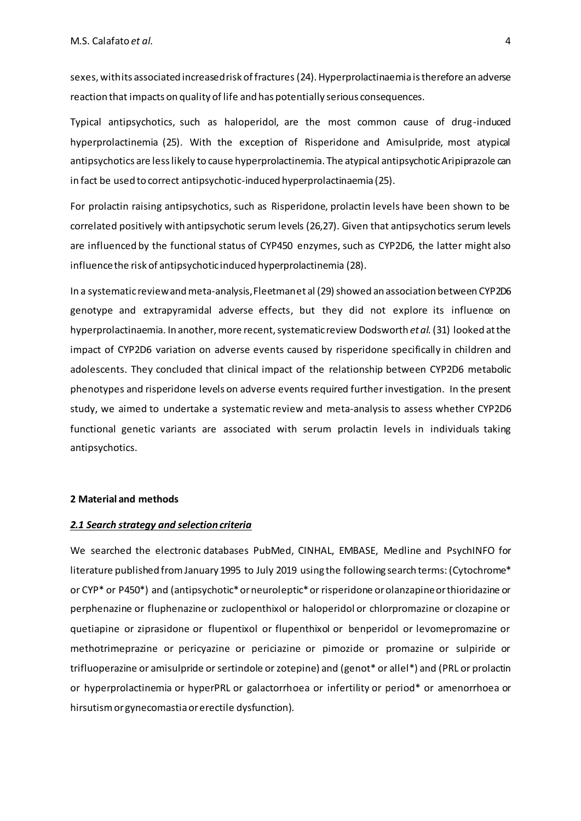sexes, with its associated increased risk of fractures(24). Hyperprolactinaemia is therefore an adverse reaction that impacts on quality of life and has potentially serious consequences.

Typical antipsychotics, such as haloperidol, are the most common cause of drug-induced hyperprolactinemia (25). With the exception of Risperidone and Amisulpride, most atypical antipsychotics are less likely to cause hyperprolactinemia. The atypical antipsychotic Aripiprazole can in fact be used to correct antipsychotic-induced hyperprolactinaemia (25).

For prolactin raising antipsychotics, such as Risperidone, prolactin levels have been shown to be correlated positively with antipsychotic serum levels (26,27). Given that antipsychotics serum levels are influenced by the functional status of CYP450 enzymes, such as CYP2D6, the latter might also influence the risk of antipsychotic induced hyperprolactinemia (28).

In a systematic review and meta-analysis, Fleetman et al (29) showed an association between CYP2D6 genotype and extrapyramidal adverse effects, but they did not explore its influence on hyperprolactinaemia. In another, more recent, systematic review Dodsworth *et al.*(31) looked at the impact of CYP2D6 variation on adverse events caused by risperidone specifically in children and adolescents. They concluded that clinical impact of the relationship between CYP2D6 metabolic phenotypes and risperidone levels on adverse events required further investigation. In the present study, we aimed to undertake a systematic review and meta-analysis to assess whether CYP2D6 functional genetic variants are associated with serum prolactin levels in individuals taking antipsychotics.

#### **2 Material and methods**

#### *2.1 Search strategy and selection criteria*

We searched the electronic databases PubMed, CINHAL, EMBASE, Medline and PsychINFO for literature published from January 1995 to July 2019 using the following search terms: (Cytochrome\* or CYP\* or P450\*) and (antipsychotic\* or neuroleptic\* or risperidone or olanzapine or thioridazine or perphenazine or fluphenazine or zuclopenthixol or haloperidol or chlorpromazine or clozapine or quetiapine or ziprasidone or flupentixol or flupenthixol or benperidol or levomepromazine or methotrimeprazine or pericyazine or periciazine or pimozide or promazine or sulpiride or trifluoperazine or amisulpride or sertindole or zotepine) and (genot\* or allel\*) and (PRL or prolactin or hyperprolactinemia or hyperPRL or galactorrhoea or infertility or period\* or amenorrhoea or hirsutism or gynecomastia or erectile dysfunction).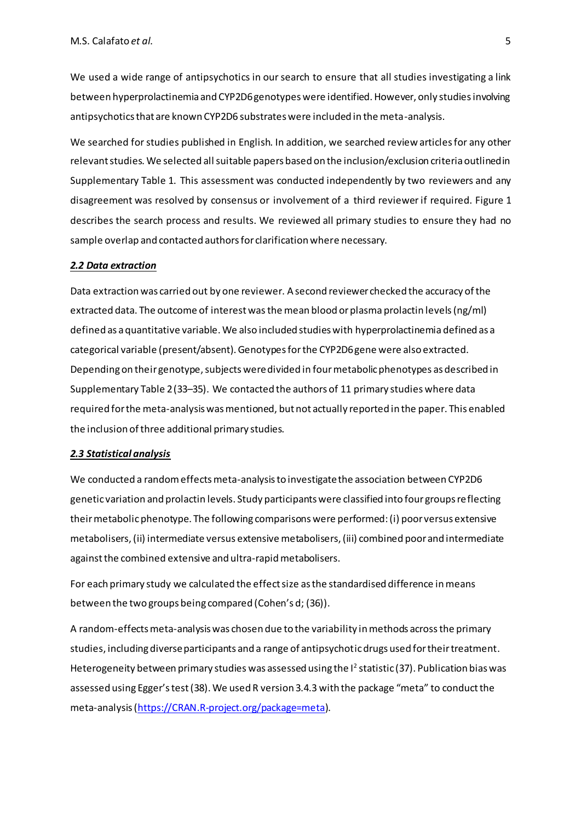We used a wide range of antipsychotics in our search to ensure that all studies investigating a link between hyperprolactinemia and CYP2D6 genotypes were identified. However, only studies involving antipsychotics that are known CYP2D6 substrates were included in the meta-analysis.

We searched for studies published in English. In addition, we searched review articles for any other relevant studies. We selected all suitable papers based on the inclusion/exclusion criteria outlined in Supplementary Table 1. This assessment was conducted independently by two reviewers and any disagreement was resolved by consensus or involvement of a third reviewer if required. Figure 1 describes the search process and results. We reviewed all primary studies to ensure they had no sample overlap and contacted authors for clarification where necessary.

#### *2.2 Data extraction*

Data extraction was carried out by one reviewer. A second reviewer checked the accuracy of the extracted data. The outcome of interest wasthe mean blood or plasma prolactin levels(ng/ml) defined as a quantitative variable. We also included studies with hyperprolactinemia defined as a categorical variable (present/absent). Genotypes for the CYP2D6 gene were also extracted. Depending on their genotype, subjects were divided in four metabolic phenotypes as described in Supplementary Table 2(33–35). We contacted the authors of 11 primary studies where data required for the meta-analysis was mentioned, but not actually reported in the paper. This enabled the inclusion of three additional primary studies.

#### *2.3 Statistical analysis*

We conducted a random effects meta-analysis to investigate the association between CYP2D6 genetic variation and prolactin levels. Study participants were classified into four groups reflecting their metabolic phenotype. The following comparisons were performed: (i) poor versus extensive metabolisers, (ii) intermediate versus extensive metabolisers, (iii) combined poor and intermediate against the combined extensive and ultra-rapid metabolisers.

For each primary study we calculated the effect size as the standardised difference in means between the two groups being compared (Cohen's d; (36)).

A random-effects meta-analysis was chosen due to the variability in methods acrossthe primary studies, including diverse participants and a range of antipsychotic drugs used for their treatment. Heterogeneity between primary studies was assessed using the  $l^2$  statistic (37). Publication bias was assessed using Egger's test (38).We used R version 3.4.3 with the package "meta" to conduct the meta-analysis [\(https://CRAN.R-project.org/package=meta](https://cran.r-project.org/package=meta)).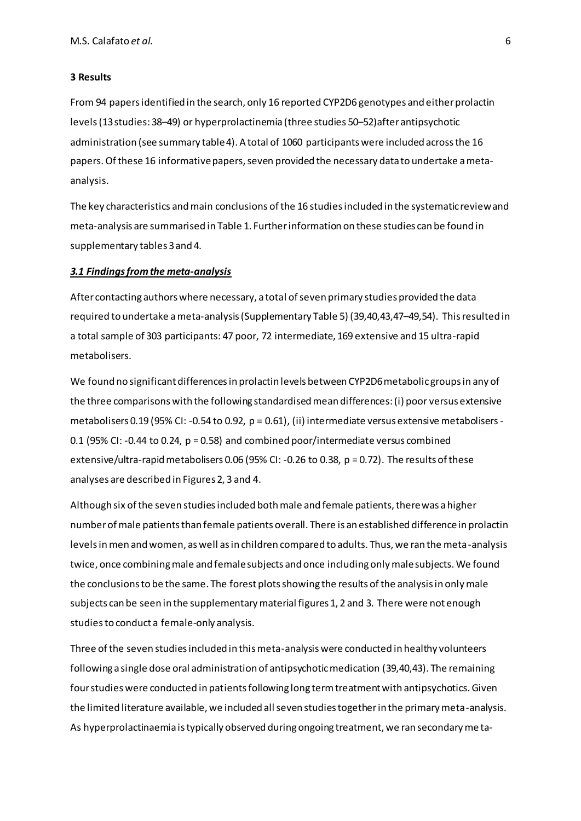#### **3 Results**

From 94 papers identified in the search, only 16 reported CYP2D6 genotypes and either prolactin levels(13studies: 38–49) or hyperprolactinemia (three studies 50–52)after antipsychotic administration (see summary table 4). A total of 1060 participants were included across the 16 papers. Of these 16 informative papers, seven provided the necessary data to undertake a metaanalysis.

The key characteristics and main conclusions of the 16 studies included in the systematic review and meta-analysis are summarised in Table 1. Further information on these studies can be found in supplementary tables 3 and 4.

#### *3.1 Findings from the meta-analysis*

After contacting authors where necessary, a total of seven primary studies provided the data required to undertake ameta-analysis (Supplementary Table 5) (39,40,43,47–49,54). This resulted in a total sample of 303 participants: 47 poor, 72 intermediate, 169 extensive and 15 ultra-rapid metabolisers.

We found no significant differences in prolactin levels between CYP2D6 metabolic groups in any of the three comparisons with the following standardised mean differences: (i) poor versus extensive metabolisers 0.19 (95% CI: -0.54 to 0.92, p = 0.61), (ii) intermediate versus extensive metabolisers - 0.1 (95% CI: -0.44 to 0.24, p = 0.58) and combined poor/intermediate versus combined extensive/ultra-rapid metabolisers 0.06 (95% CI: -0.26 to 0.38, p = 0.72). The results of these analyses are described in Figures 2, 3 and 4.

Although six of the seven studies included both male and female patients, there was a higher number of male patients than female patients overall. There is an established difference in prolactin levels in men and women, as well as in children compared to adults. Thus, we ran the meta-analysis twice, once combining male and female subjects and once including only male subjects. We found the conclusions to be the same. The forest plots showing the results of the analysis in only male subjects can be seen in the supplementary material figures 1, 2 and 3. There were not enough studies to conduct a female-only analysis.

Three of the seven studies included in this meta-analysis were conducted in healthy volunteers following a single dose oral administration of antipsychotic medication (39,40,43). The remaining four studies were conducted in patients following long term treatment with antipsychotics. Given the limited literature available, we included all seven studies together in the primary meta-analysis. As hyperprolactinaemia is typically observed during ongoing treatment, we ran secondary me ta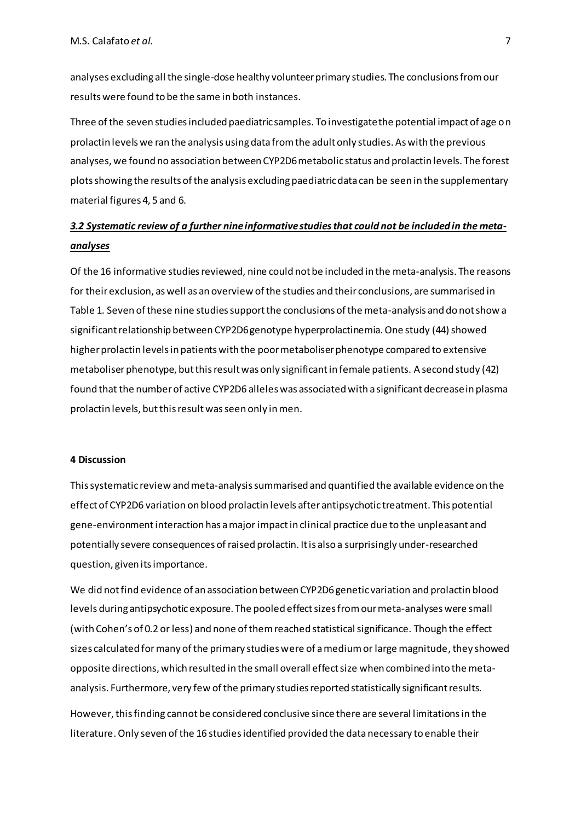analyses excluding all the single-dose healthy volunteer primary studies. The conclusions from our results were found to be the same in both instances.

Three of the seven studies included paediatric samples. To investigate the potential impact of age on prolactin levels we ran the analysis using data from the adult only studies. As with the previous analyses, we found no association between CYP2D6 metabolic status and prolactin levels. The forest plots showing the results of the analysis excluding paediatric data can be seen in the supplementary material figures 4, 5 and 6.

### *3.2 Systematic review of a further nineinformative studiesthat could not be included in the metaanalyses*

Of the 16 informative studies reviewed, nine could not be included in the meta-analysis. The reasons for their exclusion, as well as an overview of the studies and their conclusions, are summarised in Table 1. Seven of these nine studies support the conclusions of the meta-analysis and do not show a significant relationship between CYP2D6 genotype hyperprolactinemia. One study (44) showed higher prolactin levels in patients with the poor metaboliserphenotype compared to extensive metaboliser phenotype, but this result was only significant in female patients. A second study (42) found that the number of active CYP2D6 alleles was associated with a significant decrease in plasma prolactin levels, but this result was seen only in men.

#### **4 Discussion**

This systematic review and meta-analysis summarised and quantified the available evidence on the effect of CYP2D6 variation on blood prolactin levels after antipsychotic treatment. This potential gene-environment interaction has a major impact in clinical practice due to the unpleasant and potentially severe consequences of raised prolactin. It is also a surprisingly under-researched question, given its importance.

We did not find evidence of an association between CYP2D6 genetic variation and prolactin blood levels during antipsychotic exposure. The pooled effect sizes from our meta-analyses were small (with Cohen's of 0.2 or less) and none of them reached statistical significance. Though the effect sizes calculated formany of the primary studies were of a medium or large magnitude, they showed opposite directions, which resulted in the small overall effect size when combined into the metaanalysis. Furthermore, very few of the primary studies reported statistically significant results.

However, this finding cannot be considered conclusive since there are several limitations in the literature.Only seven of the 16 studies identified provided the data necessary to enable their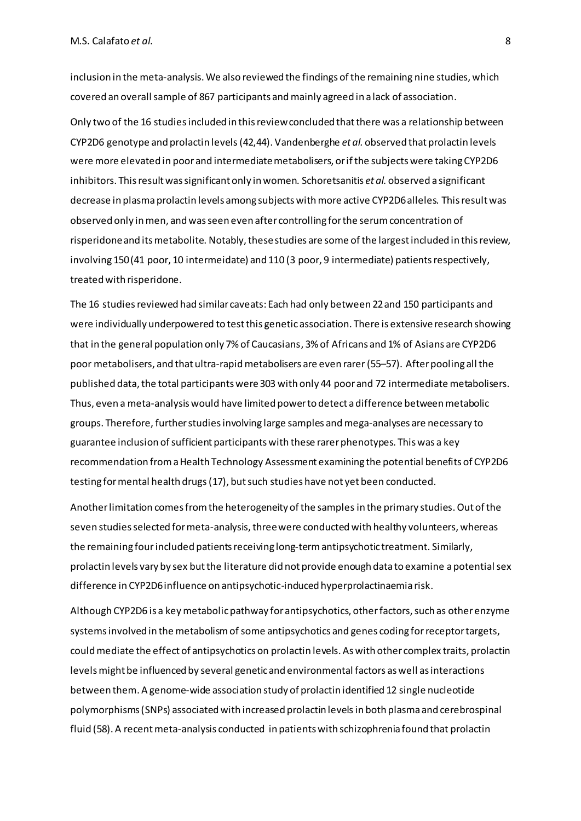inclusion in the meta-analysis. We also reviewed the findings of the remaining nine studies, which covered an overall sample of 867 participants and mainly agreed in a lack of association.

Only two of the 16 studies included in this review concluded that there was a relationship between CYP2D6 genotype and prolactin levels(42,44). Vandenberghe *et al.* observed that prolactin levels were more elevated in poor and intermediatemetabolisers, or if the subjects were taking CYP2D6 inhibitors. This result was significant only in women. Schoretsanitis *et al.* observed a significant decrease in plasma prolactin levels among subjects with more active CYP2D6 alleles. This result was observed only in men, and was seen even after controlling for the serum concentration of risperidone and its metabolite. Notably, thesestudies are some of the largest included in this review, involving 150 (41 poor, 10 intermeidate) and 110 (3 poor, 9 intermediate) patients respectively, treated with risperidone.

The 16 studies reviewed had similar caveats: Each had only between 22 and 150 participants and were individually underpowered to test this genetic association. There is extensive research showing that in the general population only 7% of Caucasians, 3% of Africans and 1% of Asians are CYP2D6 poor metabolisers, and that ultra-rapid metabolisers are even rarer(55–57). After pooling all the published data, the total participants were 303 with only 44 poor and 72 intermediate metabolisers. Thus, even a meta-analysis would have limited power to detect a difference between metabolic groups. Therefore, further studies involving large samples andmega-analyses are necessary to guarantee inclusion of sufficient participants with these rarerphenotypes. This was a key recommendation from a Health Technology Assessment examining the potential benefits of CYP2D6 testing for mental health drugs(17), butsuch studies have not yet been conducted.

Another limitation comes from the heterogeneity of the samplesin the primary studies. Out of the seven studies selected for meta-analysis, threewere conducted with healthy volunteers, whereas the remaining four included patients receiving long-term antipsychotic treatment. Similarly, prolactin levels vary by sex but the literature did not provide enough data to examine a potential sex difference in CYP2D6 influence on antipsychotic-induced hyperprolactinaemia risk.

Although CYP2D6 is a keymetabolic pathway for antipsychotics, other factors,such as other enzyme systems involved in the metabolism of some antipsychotics and genes coding for receptor targets, could mediate the effect of antipsychotics on prolactin levels. As with other complex traits, prolactin levels might be influenced by several geneticand environmental factors as well as interactions between them. A genome-wide association study of prolactin identified 12 single nucleotide polymorphisms (SNPs) associated with increased prolactin levelsin both plasma and cerebrospinal fluid (58). A recent meta-analysis conducted in patients with schizophrenia found that prolactin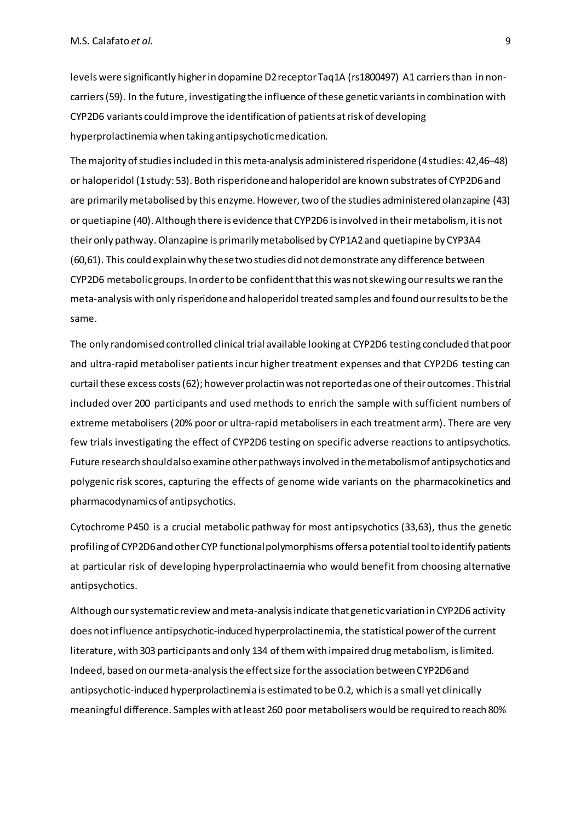levels were significantly higher in dopamine D2 receptor Taq1A (rs1800497) A1 carriers than in noncarriers(59). In the future, investigating the influence of these genetic variants in combination with CYP2D6 variants could improve the identification of patients at risk of developing hyperprolactinemia when taking antipsychotic medication.

The majority of studies included in this meta-analysis administered risperidone (4 studies: 42,46–48) or haloperidol (1 study: 53). Both risperidone and haloperidol are known substrates of CYP2D6 and are primarily metabolised by this enzyme. However, two of the studies administered olanzapine (43) or quetiapine (40). Although there is evidence that CYP2D6 is involved in their metabolism, it is not their only pathway. Olanzapine is primarily metabolised by CYP1A2 and quetiapine by CYP3A4 (60,61). This could explain why these two studies did not demonstrate any difference between CYP2D6 metabolic groups. In order to be confident that this was not skewing our results we ran the meta-analysis with only risperidone and haloperidol treated samples and found our results to be the same.

The only randomised controlled clinical trial available looking at CYP2D6 testing concluded that poor and ultra-rapid metaboliser patients incur higher treatment expenses and that CYP2D6 testing can curtail these excess costs(62); however prolactin was not reported as one of their outcomes. This trial included over 200 participants and used methods to enrich the sample with sufficient numbers of extreme metabolisers (20% poor or ultra-rapid metabolisersin each treatment arm). There are very few trials investigating the effect of CYP2D6 testing on specific adverse reactions to antipsychotics. Future research should also examine other pathways involved in the metabolism of antipsychotics and polygenic risk scores, capturing the effects of genome wide variants on the pharmacokinetics and pharmacodynamics of antipsychotics.

Cytochrome P450 is a crucial metabolic pathway for most antipsychotics (33,63), thus the genetic profiling of CYP2D6 and other CYP functional polymorphisms offersa potential toolto identify patients at particular risk of developing hyperprolactinaemia who would benefit from choosing alternative antipsychotics.

Although our systematic review and meta-analysis indicate that genetic variation in CYP2D6 activity does not influence antipsychotic-induced hyperprolactinemia, the statistical power of the current literature, with 303 participants and only 134 of them with impaired drug metabolism, is limited. Indeed, based on our meta-analysis the effect size for the association between CYP2D6 and antipsychotic-induced hyperprolactinemia is estimated to be 0.2, which is a small yet clinically meaningful difference. Samples with at least 260 poor metabolisers would be required to reach 80%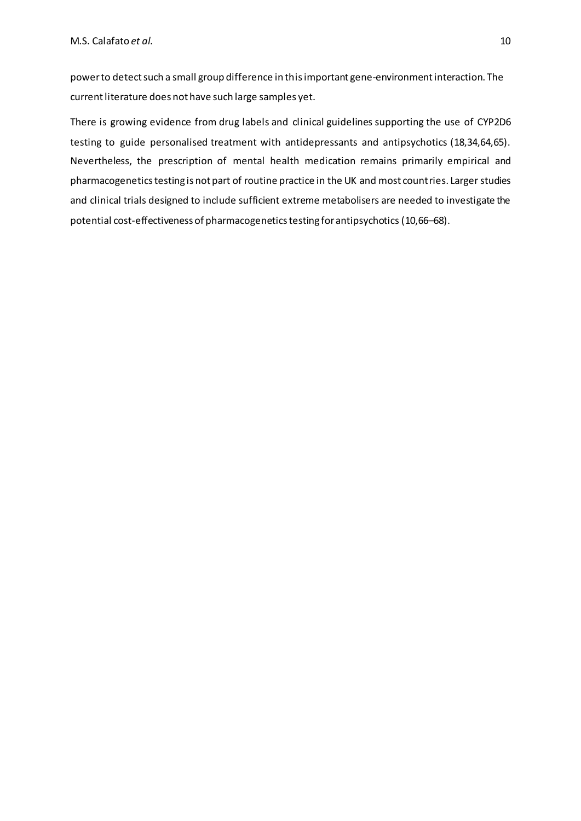power to detect such a small group difference in thisimportant gene-environment interaction. The current literature does not have such large samples yet.

There is growing evidence from drug labels and clinical guidelines supporting the use of CYP2D6 testing to guide personalised treatment with antidepressants and antipsychotics (18,34,64,65). Nevertheless, the prescription of mental health medication remains primarily empirical and pharmacogenetics testing is not part of routine practice in the UK and most countries. Larger studies and clinical trials designed to include sufficient extreme metabolisers are needed to investigate the potential cost-effectiveness of pharmacogenetics testing for antipsychotics (10,66–68).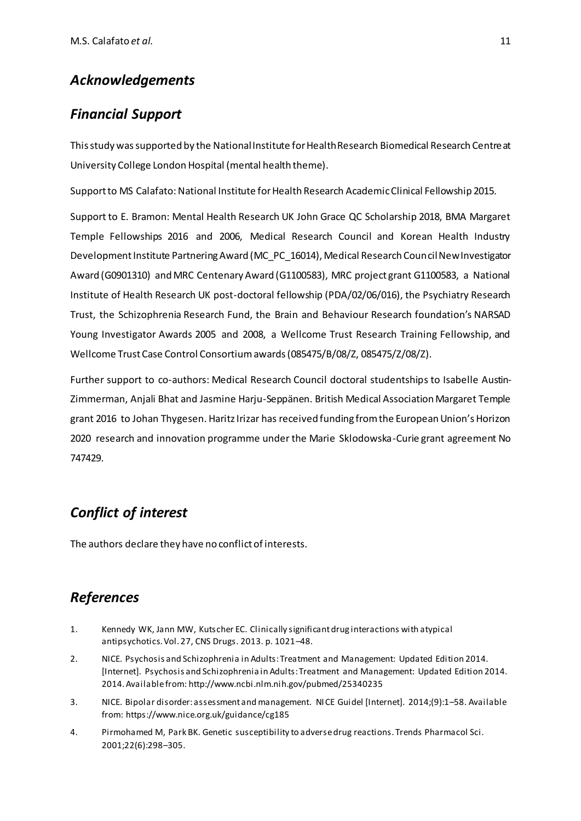## *Acknowledgements*

### *Financial Support*

This study wassupported by the National Institute for Health Research Biomedical Research Centre at University College London Hospital (mental health theme).

Support to MS Calafato: National Institute for Health Research Academic Clinical Fellowship 2015.

Support to E. Bramon: Mental Health Research UK John Grace QC Scholarship 2018, BMA Margaret Temple Fellowships 2016 and 2006, Medical Research Council and Korean Health Industry Development Institute Partnering Award (MC\_PC\_16014), Medical Research Council New Investigator Award (G0901310) and MRC Centenary Award (G1100583), MRC project grant G1100583, a National Institute of Health Research UK post-doctoral fellowship (PDA/02/06/016), the Psychiatry Research Trust, the Schizophrenia Research Fund, the Brain and Behaviour Research foundation's NARSAD Young Investigator Awards 2005 and 2008, a Wellcome Trust Research Training Fellowship, and Wellcome Trust Case Control Consortium awards (085475/B/08/Z, 085475/Z/08/Z).

Further support to co-authors: Medical Research Council doctoral studentships to Isabelle Austin-Zimmerman, Anjali Bhat and Jasmine Harju-Seppänen. British Medical Association Margaret Temple grant 2016 to Johan Thygesen. HaritzIrizar has received funding from the European Union's Horizon 2020 research and innovation programme under the Marie Sklodowska-Curie grant agreement No 747429.

# *Conflict of interest*

The authors declare they have no conflict of interests.

# *References*

- 1. Kennedy WK, Jann MW, Kutscher EC. Clinically significant drug interactions with atypical antipsychotics. Vol. 27, CNS Drugs. 2013. p. 1021–48.
- 2. NICE. Psychosis and Schizophrenia in Adults: Treatment and Management: Updated Edition 2014. [Internet]. Psychosis and Schizophrenia in Adults: Treatment and Management: Updated Edition 2014. 2014. Available from: http://www.ncbi.nlm.nih.gov/pubmed/25340235
- 3. NICE. Bipolar disorder: assessment and management. NICE Guidel [Internet]. 2014;(9):1–58. Available from: https://www.nice.org.uk/guidance/cg185
- 4. Pirmohamed M, Park BK. Genetic susceptibility to adverse drug reactions. Trends Pharmacol Sci. 2001;22(6):298–305.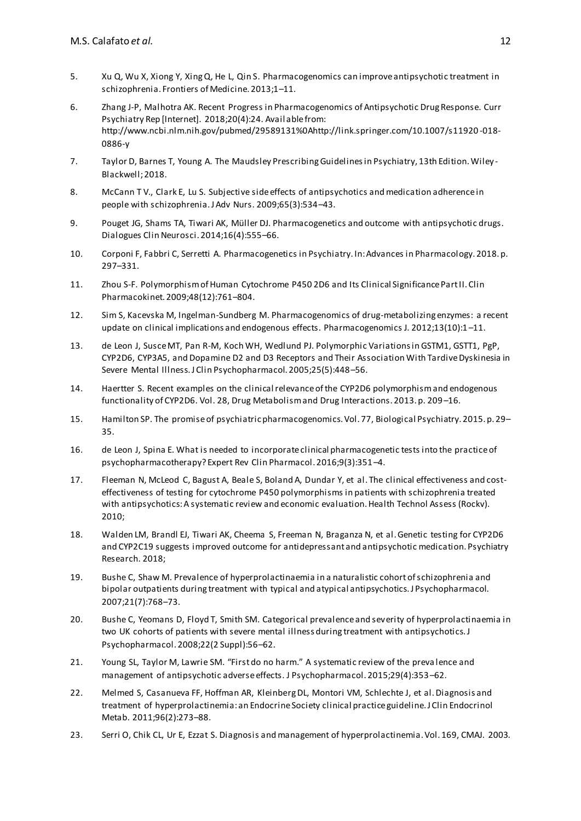- 5. Xu Q, Wu X, Xiong Y, Xing Q, He L, Qin S. Pharmacogenomics can improve antipsychotic treatment in schizophrenia. Frontiers of Medicine. 2013;1–11.
- 6. Zhang J-P, Malhotra AK. Recent Progress in Pharmacogenomics of Antipsychotic Drug Response. Curr Psychiatry Rep [Internet]. 2018;20(4):24. Avail able from: http://www.ncbi.nlm.nih.gov/pubmed/29589131%0Ahttp://link.springer.com/10.1007/s11920 -018- 0886-y
- 7. Taylor D, Barnes T, Young A. The Maudsley Prescribing Guidelines in Psychiatry, 13th Edition. Wiley-Blackwell; 2018.
- 8. McCann T V., Clark E, Lu S. Subjective side effects of antipsychotics and medication adherence in people with schizophrenia. J Adv Nurs. 2009;65(3):534–43.
- 9. Pouget JG, Shams TA, Tiwari AK, Müller DJ. Pharmacogenetics and outcome with antipsychotic drugs. Dialogues Clin Neurosci. 2014;16(4):555–66.
- 10. Corponi F, Fabbri C, Serretti A. Pharmacogenetics in Psychiatry. In: Advances in Pharmacology. 2018. p. 297–331.
- 11. Zhou S-F. Polymorphism of Human Cytochrome P450 2D6 and Its Clinical Significance Part II. Clin Pharmacokinet. 2009;48(12):761–804.
- 12. Sim S, Kacevska M, Ingelman-Sundberg M. Pharmacogenomics of drug-metabolizing enzymes: a recent update on clinical implications and endogenous effects. Pharmacogenomics J. 2012;13(10):1 –11.
- 13. de Leon J, Susce MT, Pan R-M, Koch WH, Wedlund PJ. Polymorphic Variations in GSTM1, GSTT1, PgP, CYP2D6, CYP3A5, and Dopamine D2 and D3 Receptors and Their Association With Tardive Dyskinesia in Severe Mental Illness. J Clin Psychopharmacol. 2005;25(5):448–56.
- 14. Haertter S. Recent examples on the clinical relevance of the CYP2D6 polymorphism and endogenous functionality of CYP2D6. Vol. 28, Drug Metabolism and Drug Interactions. 2013. p. 209 –16.
- 15. Hamilton SP. The promise of psychiatric pharmacogenomics. Vol. 77, Biological Psychiatry. 2015. p. 29– 35.
- 16. de Leon J, Spina E. What is needed to incorporate clinical pharmacogenetic tests into the practice of psychopharmacotherapy? Expert Rev Clin Pharmacol. 2016;9(3):351–4.
- 17. Fleeman N, McLeod C, Bagust A, Beale S, Boland A, Dundar Y, et al. The clinical effectiveness and costeffectiveness of testing for cytochrome P450 polymorphisms in patients with schizophrenia treated with antipsychotics: A systematic review and economic evaluation. Health Technol Assess (Rockv). 2010;
- 18. Walden LM, Brandl EJ, Tiwari AK, Cheema S, Freeman N, Braganza N, et al. Genetic testing for CYP2D6 and CYP2C19 suggests improved outcome for antidepressant and antipsychotic medication. Psychiatry Research. 2018;
- 19. Bushe C, Shaw M. Prevalence of hyperprolactinaemia in a naturalistic cohort of schizophrenia and bipolar outpatients during treatment with typical and atypical antipsychotics. J Psychopharmacol. 2007;21(7):768–73.
- 20. Bushe C, Yeomans D, Floyd T, Smith SM. Categorical prevalence and severity of hyperprolactinaemia in two UK cohorts of patients with severe mental illness during treatment with antipsychotics. J Psychopharmacol. 2008;22(2 Suppl):56–62.
- 21. Young SL, Taylor M, Lawrie SM. "First do no harm." A systematic review of the preva lence and management of antipsychotic adverse effects. J Psychopharmacol. 2015;29(4):353 –62.
- 22. Melmed S, Casanueva FF, Hoffman AR, Kleinberg DL, Montori VM, Schlechte J, et al. Diagnosis and treatment of hyperprolactinemia: an Endocrine Society clinical practice guideline. J Clin Endocrinol Metab. 2011;96(2):273–88.
- 23. Serri O, Chik CL, Ur E, Ezzat S. Diagnosis and management of hyperprolactinemia. Vol. 169, CMAJ. 2003.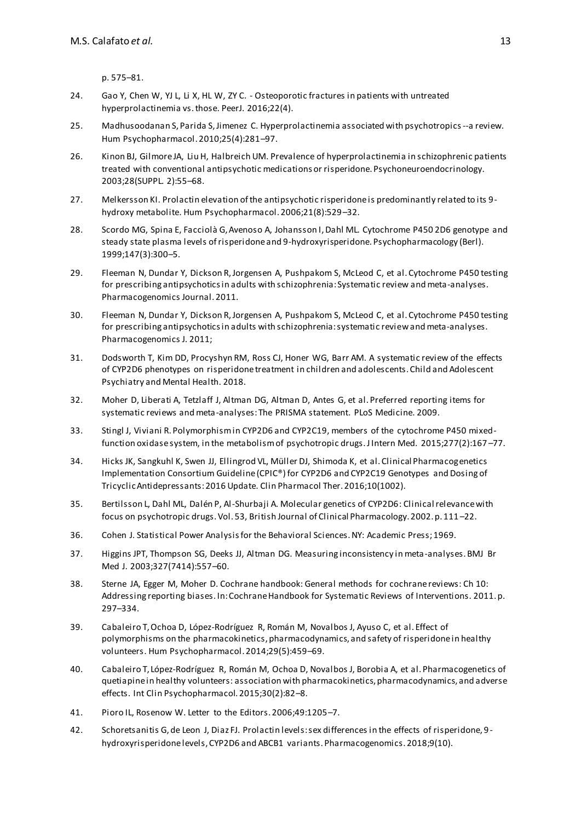p. 575–81.

- 24. Gao Y, Chen W, YJ L, Li X, HL W, ZY C. Osteoporotic fractures in patients with untreated hyperprolactinemia vs. those. PeerJ. 2016;22(4).
- 25. Madhusoodanan S, Parida S, Jimenez C. Hyperprolactinemia associated with psychotropics--a review. Hum Psychopharmacol. 2010;25(4):281–97.
- 26. Kinon BJ, Gilmore JA, Liu H, Halbreich UM. Prevalence of hyperprolactinemia in schizophrenic patients treated with conventional antipsychotic medications or risperidone. Psychoneuroendocrinology. 2003;28(SUPPL. 2):55–68.
- 27. Melkersson KI. Prolactin elevation of the antipsychotic risperidone is predominantly related to its 9 hydroxy metabolite. Hum Psychopharmacol. 2006;21(8):529–32.
- 28. Scordo MG, Spina E, Facciolà G, Avenoso A, Johansson I, Dahl ML. Cytochrome P450 2D6 genotype and steady state plasma levels of risperidone and 9-hydroxyrisperidone. Psychopharmacology (Berl). 1999;147(3):300–5.
- 29. Fleeman N, Dundar Y, Dickson R, Jorgensen A, Pushpakom S, McLeod C, et al. Cytochrome P450 testing for prescribing antipsychotics in adults with schizophrenia: Systematic review and meta-analyses. Pharmacogenomics Journal. 2011.
- 30. Fleeman N, Dundar Y, Dickson R, Jorgensen A, Pushpakom S, McLeod C, et al. Cytochrome P450 testing for prescribing antipsychotics in adults with schizophrenia: systematic review and meta-analyses. Pharmacogenomics J. 2011;
- 31. Dodsworth T, Kim DD, Procyshyn RM, Ross CJ, Honer WG, Barr AM. A systematic review of the effects of CYP2D6 phenotypes on risperidone treatment in children and adolescents. Child and Adolescent Psychiatry and Mental Health. 2018.
- 32. Moher D, Liberati A, Tetzlaff J, Altman DG, Altman D, Antes G, et al. Preferred reporting items for systematic reviews and meta-analyses: The PRISMA statement. PLoS Medicine. 2009.
- 33. Stingl J, Viviani R. Polymorphism in CYP2D6 and CYP2C19, members of the cytochrome P450 mixedfunction oxidase system, in the metabolism of psychotropic drugs. J Intern Med. 2015;277(2):167 –77.
- 34. Hicks JK, Sangkuhl K, Swen JJ, Ellingrod VL, Müller DJ, Shimoda K, et al. Clinical Pharmacogenetics Implementation Consortium Guideline (CPIC®) for CYP2D6 and CYP2C19 Genotypes and Dosing of Tricyclic Antidepressants: 2016 Update. Clin Pharmacol Ther. 2016;10(1002).
- 35. Bertilsson L, Dahl ML, Dalén P, Al-Shurbaji A. Molecular genetics of CYP2D6: Clinical relevance with focus on psychotropic drugs. Vol. 53, British Journal of Clinical Pharmacology. 2002. p. 111 –22.
- 36. Cohen J. Statistical Power Analysis for the Behavioral Sciences. NY: Academic Press; 1969.
- 37. Higgins JPT, Thompson SG, Deeks JJ, Altman DG. Measuring inconsistency in meta-analyses. BMJ Br Med J. 2003;327(7414):557–60.
- 38. Sterne JA, Egger M, Moher D. Cochrane handbook: General methods for cochrane reviews: Ch 10: Addressing reporting biases. In: Cochrane Handbook for Systematic Reviews of Interventions. 2011. p. 297–334.
- 39. Cabaleiro T, Ochoa D, López-Rodríguez R, Román M, Novalbos J, Ayuso C, et al. Effect of polymorphisms on the pharmacokinetics, pharmacodynamics, and safety of risperidone in healthy volunteers. Hum Psychopharmacol. 2014;29(5):459–69.
- 40. Cabaleiro T, López-Rodríguez R, Román M, Ochoa D, Novalbos J, Borobia A, et al. Pharmacogenetics of quetiapine in healthy volunteers: association with pharmacokinetics, pharmacodynamics, and adverse effects. Int Clin Psychopharmacol. 2015;30(2):82–8.
- 41. Pioro IL, Rosenow W. Letter to the Editors. 2006;49:1205–7.
- 42. Schoretsanitis G, de Leon J, Diaz FJ. Prolactin levels: sex differences in the effects of risperidone, 9 hydroxyrisperidone levels, CYP2D6 and ABCB1 variants. Pharmacogenomics. 2018;9(10).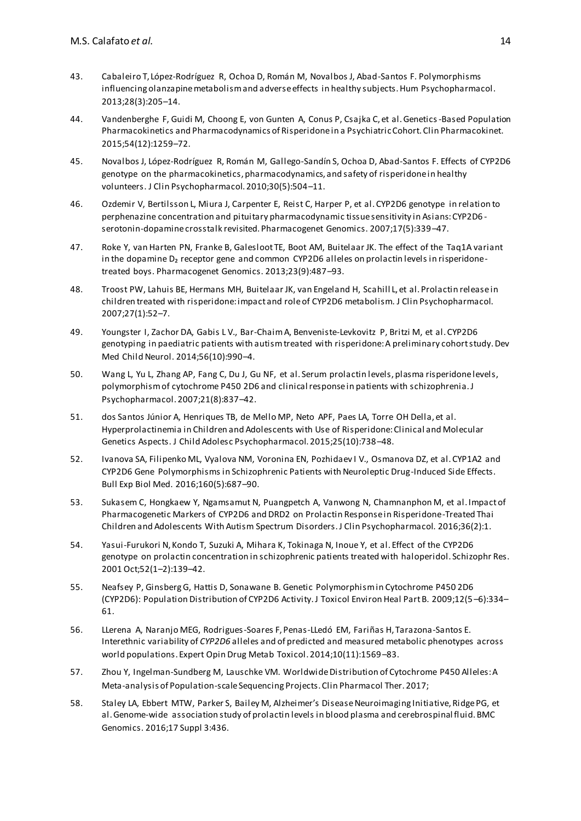- 43. Cabaleiro T, López-Rodríguez R, Ochoa D, Román M, Novalbos J, Abad-Santos F. Polymorphisms influencing olanzapine metabolism and adverse effects in healthy subjects. Hum Psychopharmacol. 2013;28(3):205–14.
- 44. Vandenberghe F, Guidi M, Choong E, von Gunten A, Conus P, Csajka C, et al. Genetics-Based Population Pharmacokinetics and Pharmacodynamics of Risperidone in a Psychiatric Cohort. Clin Pharmacokinet. 2015;54(12):1259–72.
- 45. Novalbos J, López-Rodríguez R, Román M, Gallego-Sandín S, Ochoa D, Abad-Santos F. Effects of CYP2D6 genotype on the pharmacokinetics, pharmacodynamics, and safety of risperidone in healthy volunteers. J Clin Psychopharmacol. 2010;30(5):504–11.
- 46. Ozdemir V, Bertilsson L, Miura J, Carpenter E, Reist C, Harper P, et al. CYP2D6 genotype in relation to perphenazine concentration and pituitary pharmacodynamic tissue sensitivity in Asians: CYP2D6 serotonin-dopamine crosstalk revisited. Pharmacogenet Genomics. 2007;17(5):339–47.
- 47. Roke Y, van Harten PN, Franke B, Galesloot TE, Boot AM, Buitelaar JK. The effect of the Taq1A variant in the dopamine D<sub>2</sub> receptor gene and common CYP2D6 alleles on prolactin levels in risperidonetreated boys. Pharmacogenet Genomics. 2013;23(9):487–93.
- 48. Troost PW, Lahuis BE, Hermans MH, Buitelaar JK, van Engeland H, Scahill L, et al. Prolactin release in children treated with risperidone: impact and role of CYP2D6 metabolism. J Clin Psychopharmacol. 2007;27(1):52–7.
- 49. Youngster I, Zachor DA, Gabis L V., Bar-Chaim A, Benveniste-Levkovitz P, Britzi M, et al. CYP2D6 genotyping in paediatric patients with autism treated with risperidone: A preliminary cohort study. Dev Med Child Neurol. 2014;56(10):990–4.
- 50. Wang L, Yu L, Zhang AP, Fang C, Du J, Gu NF, et al. Serum prolactin levels, plasma risperidone levels, polymorphism of cytochrome P450 2D6 and clinical response in patients with schizophrenia. J Psychopharmacol. 2007;21(8):837–42.
- 51. dos Santos Júnior A, Henriques TB, de Mello MP, Neto APF, Paes LA, Torre OH Della, et al. Hyperprolactinemia in Children and Adolescents with Use of Risperidone: Clinical and Molecular Genetics Aspects. J Child Adolesc Psychopharmacol. 2015;25(10):738–48.
- 52. Ivanova SA, Filipenko ML, Vyalova NM, Voronina EN, Pozhidaev I V., Osmanova DZ, et al. CYP1A2 and CYP2D6 Gene Polymorphisms in Schizophrenic Patients with Neuroleptic Drug-Induced Side Effects. Bull Exp Biol Med. 2016;160(5):687–90.
- 53. Sukasem C, Hongkaew Y, Ngamsamut N, Puangpetch A, Vanwong N, Chamnanphon M, et al. Impact of Pharmacogenetic Markers of CYP2D6 and DRD2 on Prolactin Response in Risperidone-Treated Thai Children and Adolescents With Autism Spectrum Disorders. J Clin Psychopharmacol. 2016;36(2):1.
- 54. Yasui-Furukori N, Kondo T, Suzuki A, Mihara K, Tokinaga N, Inoue Y, et al. Effect of the CYP2D6 genotype on prolactin concentration in schizophrenic patients treated with haloperidol. Schizophr Res. 2001 Oct;52(1–2):139–42.
- 55. Neafsey P, Ginsberg G, Hattis D, Sonawane B. Genetic Polymorphism in Cytochrome P450 2D6 (CYP2D6): Population Distribution of CYP2D6 Activity. J Toxicol Environ Heal Part B. 2009;12(5 –6):334– 61.
- 56. LLerena A, Naranjo MEG, Rodrigues-Soares F, Penas-LLedó EM, Fariñas H, Tarazona-Santos E. Interethnic variability of *CYP2D6* alleles and of predicted and measured metabolic phenotypes across world populations. Expert Opin Drug Metab Toxicol. 2014;10(11):1569–83.
- 57. Zhou Y, Ingelman-Sundberg M, Lauschke VM. Worldwide Distribution of Cytochrome P450 Alleles: A Meta-analysis of Population-scale Sequencing Projects. Clin Pharmacol Ther. 2017;
- 58. Staley LA, Ebbert MTW, Parker S, Bailey M, Alzheimer's Disease Neuroimaging Initiative, Ridge PG, et al. Genome-wide association study of prolactin levels in blood plasma and cerebrospinal fluid. BMC Genomics. 2016;17 Suppl 3:436.